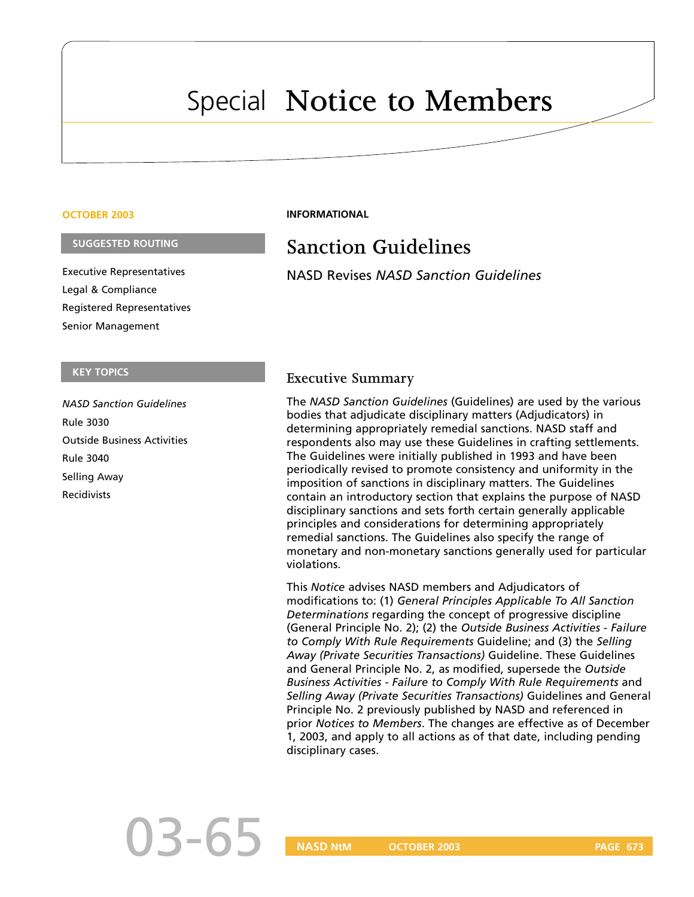## Special **Notice to Members**

#### **OCTOBER 2003**

#### **SUGGESTED ROUTING**

Executive Representatives Legal & Compliance Registered Representatives Senior Management

#### **KEY TOPICS**

*NASD Sanction Guidelines* Rule 3030 Outside Business Activities Rule 3040 Selling Away Recidivists

#### **INFORMATIONAL**

## **Sanction Guidelines**

NASD Revises *NASD Sanction Guidelines*

#### **Executive Summary**

The *NASD Sanction Guidelines* (Guidelines) are used by the various bodies that adjudicate disciplinary matters (Adjudicators) in determining appropriately remedial sanctions. NASD staff and respondents also may use these Guidelines in crafting settlements. The Guidelines were initially published in 1993 and have been periodically revised to promote consistency and uniformity in the imposition of sanctions in disciplinary matters. The Guidelines contain an introductory section that explains the purpose of NASD disciplinary sanctions and sets forth certain generally applicable principles and considerations for determining appropriately remedial sanctions. The Guidelines also specify the range of monetary and non-monetary sanctions generally used for particular violations.

This *Notice* advises NASD members and Adjudicators of modifications to: (1) *General Principles Applicable To All Sanction Determinations* regarding the concept of progressive discipline (General Principle No. 2); (2) the *Outside Business Activities - Failure to Comply With Rule Requirements* Guideline; and (3) the *Selling Away (Private Securities Transactions)* Guideline. These Guidelines and General Principle No. 2, as modified, supersede the *Outside Business Activities - Failure to Comply With Rule Requirements* and *Selling Away (Private Securities Transactions)* Guidelines and General Principle No. 2 previously published by NASD and referenced in prior *Notices to Members*. The changes are effective as of December 1, 2003, and apply to all actions as of that date, including pending disciplinary cases.

# 03-65

**NASD NtM OCTOBER 2003 PAGE 673**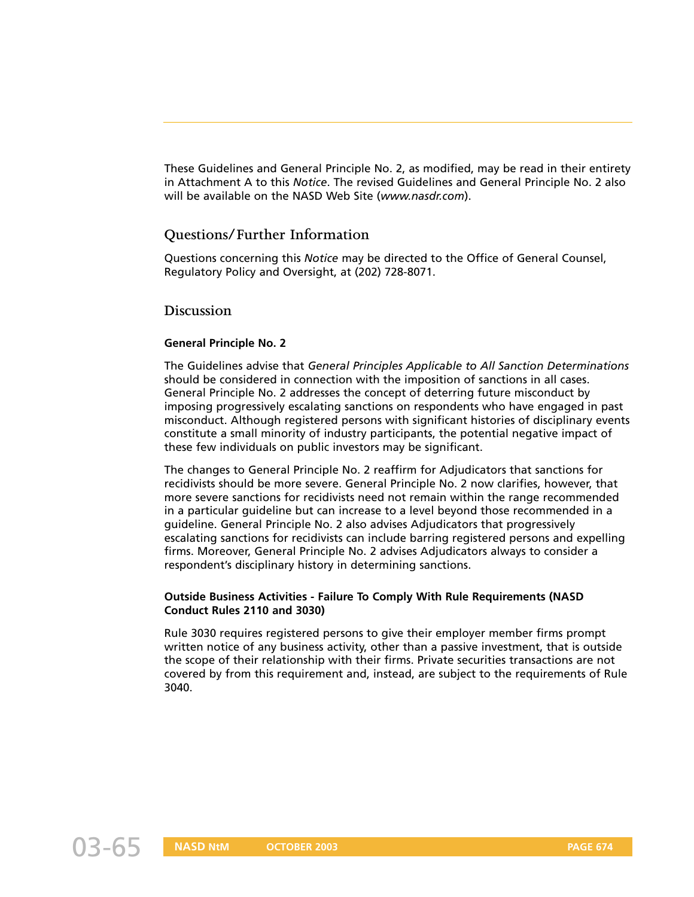These Guidelines and General Principle No. 2, as modified, may be read in their entirety in Attachment A to this *Notice*. The revised Guidelines and General Principle No. 2 also will be available on the NASD Web Site (*www.nasdr.com*).

#### **Questions/Further Information**

Questions concerning this *Notice* may be directed to the Office of General Counsel, Regulatory Policy and Oversight, at (202) 728-8071.

#### **Discussion**

#### **General Principle No. 2**

The Guidelines advise that *General Principles Applicable to All Sanction Determinations* should be considered in connection with the imposition of sanctions in all cases. General Principle No. 2 addresses the concept of deterring future misconduct by imposing progressively escalating sanctions on respondents who have engaged in past misconduct. Although registered persons with significant histories of disciplinary events constitute a small minority of industry participants, the potential negative impact of these few individuals on public investors may be significant.

The changes to General Principle No. 2 reaffirm for Adjudicators that sanctions for recidivists should be more severe. General Principle No. 2 now clarifies, however, that more severe sanctions for recidivists need not remain within the range recommended in a particular guideline but can increase to a level beyond those recommended in a guideline. General Principle No. 2 also advises Adjudicators that progressively escalating sanctions for recidivists can include barring registered persons and expelling firms. Moreover, General Principle No. 2 advises Adjudicators always to consider a respondent's disciplinary history in determining sanctions.

#### **Outside Business Activities - Failure To Comply With Rule Requirements (NASD Conduct Rules 2110 and 3030)**

Rule 3030 requires registered persons to give their employer member firms prompt written notice of any business activity, other than a passive investment, that is outside the scope of their relationship with their firms. Private securities transactions are not covered by from this requirement and, instead, are subject to the requirements of Rule 3040.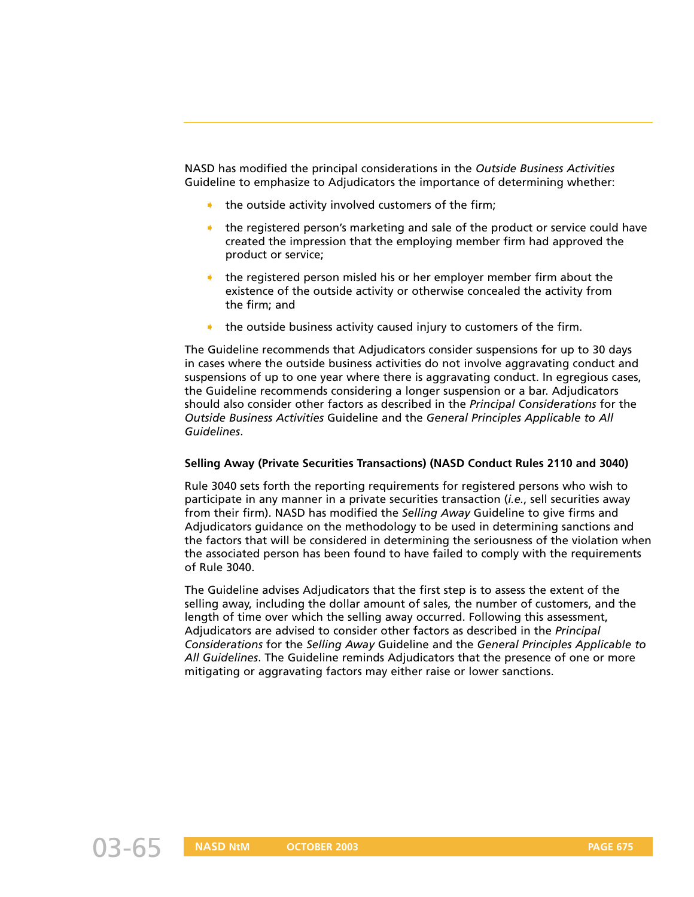NASD has modified the principal considerations in the *Outside Business Activities* Guideline to emphasize to Adjudicators the importance of determining whether:

- the outside activity involved customers of the firm;
- the registered person's marketing and sale of the product or service could have created the impression that the employing member firm had approved the product or service;
- ➧ the registered person misled his or her employer member firm about the existence of the outside activity or otherwise concealed the activity from the firm; and
- the outside business activity caused injury to customers of the firm.

The Guideline recommends that Adjudicators consider suspensions for up to 30 days in cases where the outside business activities do not involve aggravating conduct and suspensions of up to one year where there is aggravating conduct. In egregious cases, the Guideline recommends considering a longer suspension or a bar. Adjudicators should also consider other factors as described in the *Principal Considerations* for the *Outside Business Activities* Guideline and the *General Principles Applicable to All Guidelines*.

#### **Selling Away (Private Securities Transactions) (NASD Conduct Rules 2110 and 3040)**

Rule 3040 sets forth the reporting requirements for registered persons who wish to participate in any manner in a private securities transaction (*i.e.*, sell securities away from their firm). NASD has modified the *Selling Away* Guideline to give firms and Adjudicators guidance on the methodology to be used in determining sanctions and the factors that will be considered in determining the seriousness of the violation when the associated person has been found to have failed to comply with the requirements of Rule 3040.

The Guideline advises Adjudicators that the first step is to assess the extent of the selling away, including the dollar amount of sales, the number of customers, and the length of time over which the selling away occurred. Following this assessment, Adjudicators are advised to consider other factors as described in the *Principal Considerations* for the *Selling Away* Guideline and the *General Principles Applicable to All Guidelines*. The Guideline reminds Adjudicators that the presence of one or more mitigating or aggravating factors may either raise or lower sanctions.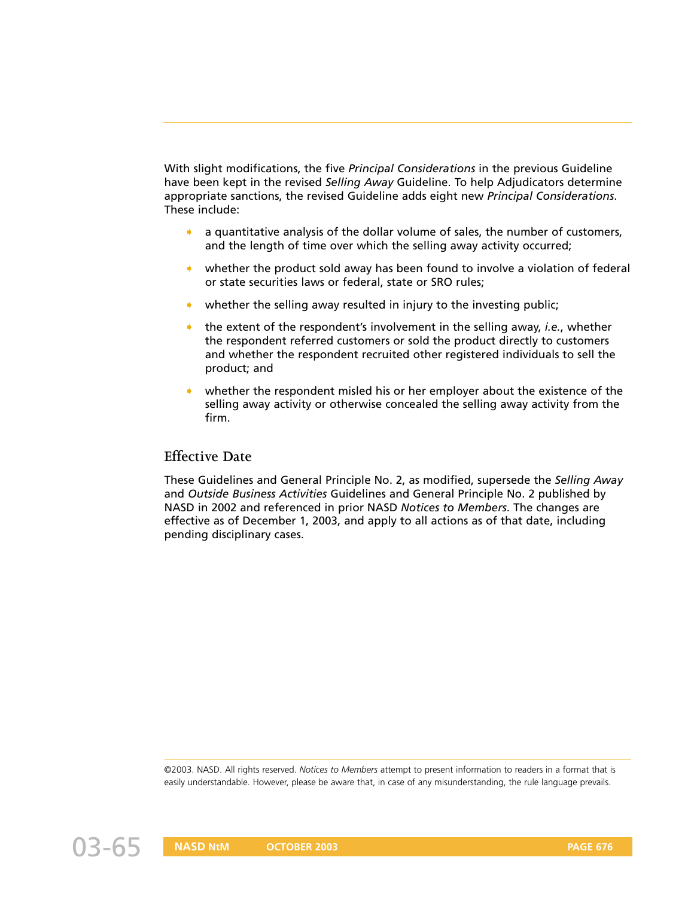With slight modifications, the five *Principal Considerations* in the previous Guideline have been kept in the revised *Selling Away* Guideline. To help Adjudicators determine appropriate sanctions, the revised Guideline adds eight new *Principal Considerations*. These include:

- ➧ a quantitative analysis of the dollar volume of sales, the number of customers, and the length of time over which the selling away activity occurred;
- whether the product sold away has been found to involve a violation of federal or state securities laws or federal, state or SRO rules;
- whether the selling away resulted in injury to the investing public;
- the extent of the respondent's involvement in the selling away, *i.e.*, whether the respondent referred customers or sold the product directly to customers and whether the respondent recruited other registered individuals to sell the product; and
- whether the respondent misled his or her employer about the existence of the selling away activity or otherwise concealed the selling away activity from the firm.

#### **Effective Date**

These Guidelines and General Principle No. 2, as modified, supersede the *Selling Away* and *Outside Business Activities* Guidelines and General Principle No. 2 published by NASD in 2002 and referenced in prior NASD *Notices to Members*. The changes are effective as of December 1, 2003, and apply to all actions as of that date, including pending disciplinary cases.

©2003. NASD. All rights reserved. *Notices to Members* attempt to present information to readers in a format that is easily understandable. However, please be aware that, in case of any misunderstanding, the rule language prevails.

03-65 **NASD NtM OCTOBER 2003 PAGE 676**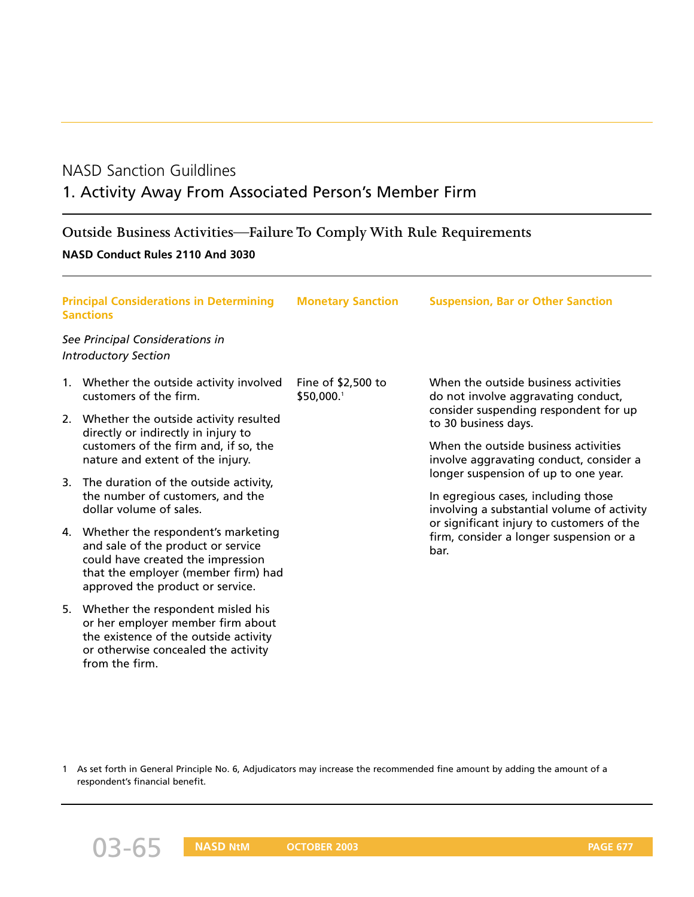## NASD Sanction Guildlines

## 1. Activity Away From Associated Person's Member Firm

## **Outside Business Activities—Failure To Comply With Rule Requirements**

#### **NASD Conduct Rules 2110 And 3030**

| <b>Principal Considerations in Determining</b><br><b>Sanctions</b> |                                                                                                                                                                                             | <b>Monetary Sanction</b>         | <b>Suspension, Bar or Other Sanction</b>                                                                                                     |
|--------------------------------------------------------------------|---------------------------------------------------------------------------------------------------------------------------------------------------------------------------------------------|----------------------------------|----------------------------------------------------------------------------------------------------------------------------------------------|
|                                                                    | See Principal Considerations in<br><b>Introductory Section</b>                                                                                                                              |                                  |                                                                                                                                              |
|                                                                    | 1. Whether the outside activity involved<br>customers of the firm.                                                                                                                          | Fine of \$2,500 to<br>\$50,000.1 | When the outside business activities<br>do not involve aggravating conduct,<br>consider suspending respondent for up<br>to 30 business days. |
|                                                                    | 2. Whether the outside activity resulted<br>directly or indirectly in injury to<br>customers of the firm and, if so, the<br>nature and extent of the injury.                                |                                  |                                                                                                                                              |
|                                                                    |                                                                                                                                                                                             |                                  | When the outside business activities<br>involve aggravating conduct, consider a                                                              |
| 3.                                                                 | The duration of the outside activity,<br>the number of customers, and the<br>dollar volume of sales.                                                                                        |                                  | longer suspension of up to one year.                                                                                                         |
|                                                                    |                                                                                                                                                                                             |                                  | In egregious cases, including those<br>involving a substantial volume of activity                                                            |
|                                                                    | 4. Whether the respondent's marketing<br>and sale of the product or service<br>could have created the impression<br>that the employer (member firm) had<br>approved the product or service. |                                  | or significant injury to customers of the<br>firm, consider a longer suspension or a<br>bar.                                                 |
|                                                                    | 5. Whether the respondent misled his<br>or her employer member firm about<br>the existence of the outside activity<br>or otherwise concealed the activity<br>from the firm.                 |                                  |                                                                                                                                              |

1 As set forth in General Principle No. 6, Adjudicators may increase the recommended fine amount by adding the amount of a respondent's financial benefit.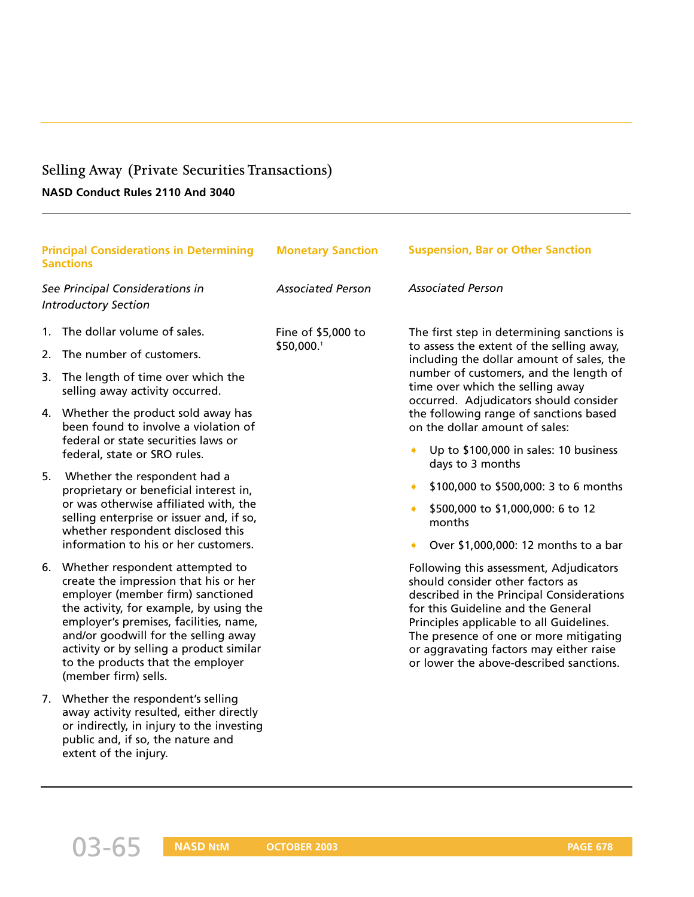## **Selling Away (Private Securities Transactions)**

#### **NASD Conduct Rules 2110 And 3040**

| <b>Principal Considerations in Determining</b><br><b>Sanctions</b> |                                                                                                                                                                                                                                                                                                                                                     | <b>Monetary Sanction</b>         | <b>Suspension, Bar or Other Sanction</b>                                                                                                                                                                                                                                                                                                   |
|--------------------------------------------------------------------|-----------------------------------------------------------------------------------------------------------------------------------------------------------------------------------------------------------------------------------------------------------------------------------------------------------------------------------------------------|----------------------------------|--------------------------------------------------------------------------------------------------------------------------------------------------------------------------------------------------------------------------------------------------------------------------------------------------------------------------------------------|
| See Principal Considerations in<br><b>Introductory Section</b>     |                                                                                                                                                                                                                                                                                                                                                     | <b>Associated Person</b>         | <b>Associated Person</b>                                                                                                                                                                                                                                                                                                                   |
| 1.<br>2.                                                           | The dollar volume of sales.<br>The number of customers.                                                                                                                                                                                                                                                                                             | Fine of \$5,000 to<br>\$50,000.1 | The first step in determining sanctions is<br>to assess the extent of the selling away,<br>including the dollar amount of sales, the<br>number of customers, and the length of<br>time over which the selling away<br>occurred. Adjudicators should consider<br>the following range of sanctions based<br>on the dollar amount of sales:   |
| 3.                                                                 | The length of time over which the<br>selling away activity occurred.<br>4. Whether the product sold away has<br>been found to involve a violation of<br>federal or state securities laws or                                                                                                                                                         |                                  |                                                                                                                                                                                                                                                                                                                                            |
| 5.                                                                 | federal, state or SRO rules.<br>Whether the respondent had a<br>proprietary or beneficial interest in,<br>or was otherwise affiliated with, the<br>selling enterprise or issuer and, if so,<br>whether respondent disclosed this<br>information to his or her customers.                                                                            |                                  | Up to \$100,000 in sales: 10 business<br>days to 3 months<br>\$100,000 to \$500,000: 3 to 6 months<br>٠<br>\$500,000 to \$1,000,000: 6 to 12<br>۰<br>months<br>Over \$1,000,000: 12 months to a bar<br>٠                                                                                                                                   |
| 6.                                                                 | Whether respondent attempted to<br>create the impression that his or her<br>employer (member firm) sanctioned<br>the activity, for example, by using the<br>employer's premises, facilities, name,<br>and/or goodwill for the selling away<br>activity or by selling a product similar<br>to the products that the employer<br>(member firm) sells. |                                  | Following this assessment, Adjudicators<br>should consider other factors as<br>described in the Principal Considerations<br>for this Guideline and the General<br>Principles applicable to all Guidelines.<br>The presence of one or more mitigating<br>or aggravating factors may either raise<br>or lower the above-described sanctions. |
|                                                                    | 7. Whether the respondent's selling<br>away activity resulted, either directly<br>or indirectly, in injury to the investing<br>public and, if so, the nature and<br>extent of the injury.                                                                                                                                                           |                                  |                                                                                                                                                                                                                                                                                                                                            |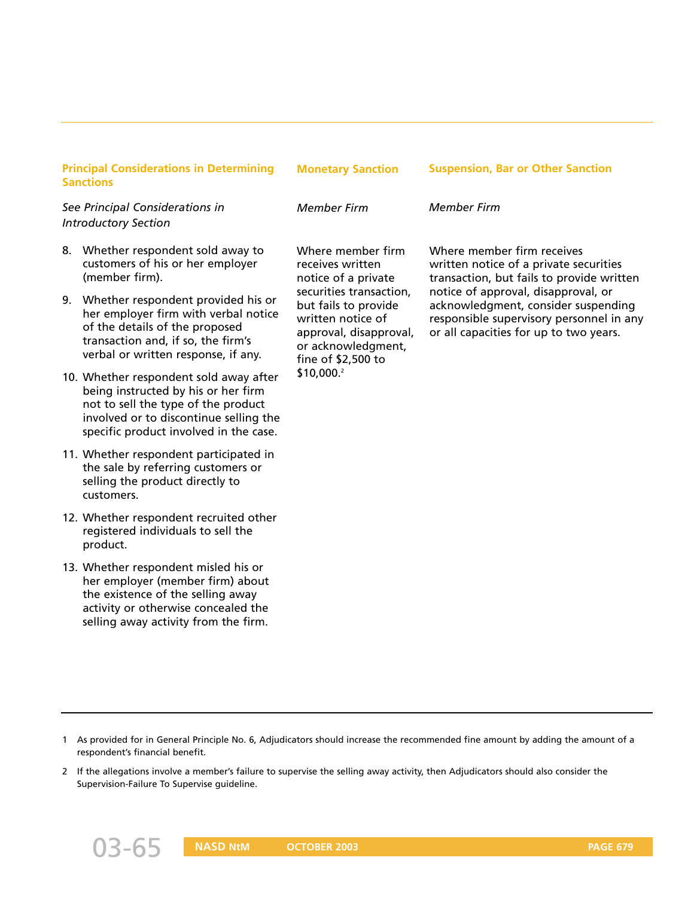| <b>Principal Considerations in Determining</b><br><b>Sanctions</b> |                                                                                                                                                                                                          | <b>Monetary Sanction</b>                                                                                                                                                                                                 | <b>Suspension, Bar or Other Sanction</b>                                                                                                                                                                                                                                              |
|--------------------------------------------------------------------|----------------------------------------------------------------------------------------------------------------------------------------------------------------------------------------------------------|--------------------------------------------------------------------------------------------------------------------------------------------------------------------------------------------------------------------------|---------------------------------------------------------------------------------------------------------------------------------------------------------------------------------------------------------------------------------------------------------------------------------------|
| See Principal Considerations in<br><b>Introductory Section</b>     |                                                                                                                                                                                                          | <b>Member Firm</b>                                                                                                                                                                                                       | <b>Member Firm</b>                                                                                                                                                                                                                                                                    |
| 8.                                                                 | Whether respondent sold away to<br>customers of his or her employer<br>(member firm).                                                                                                                    | Where member firm<br>receives written<br>notice of a private<br>securities transaction,<br>but fails to provide<br>written notice of<br>approval, disapproval,<br>or acknowledgment,<br>fine of \$2,500 to<br>\$10,000.2 | Where member firm receives<br>written notice of a private securities<br>transaction, but fails to provide written<br>notice of approval, disapproval, or<br>acknowledgment, consider suspending<br>responsible supervisory personnel in any<br>or all capacities for up to two years. |
| 9.                                                                 | Whether respondent provided his or<br>her employer firm with verbal notice<br>of the details of the proposed<br>transaction and, if so, the firm's<br>verbal or written response, if any.                |                                                                                                                                                                                                                          |                                                                                                                                                                                                                                                                                       |
|                                                                    | 10. Whether respondent sold away after<br>being instructed by his or her firm<br>not to sell the type of the product<br>involved or to discontinue selling the<br>specific product involved in the case. |                                                                                                                                                                                                                          |                                                                                                                                                                                                                                                                                       |
|                                                                    | 11. Whether respondent participated in<br>the sale by referring customers or<br>selling the product directly to<br>customers.                                                                            |                                                                                                                                                                                                                          |                                                                                                                                                                                                                                                                                       |
|                                                                    | 12. Whether respondent recruited other<br>registered individuals to sell the<br>product.                                                                                                                 |                                                                                                                                                                                                                          |                                                                                                                                                                                                                                                                                       |
|                                                                    | 13. Whether respondent misled his or<br>her employer (member firm) about<br>the existence of the selling away<br>activity or otherwise concealed the<br>selling away activity from the firm.             |                                                                                                                                                                                                                          |                                                                                                                                                                                                                                                                                       |

<sup>1</sup> As provided for in General Principle No. 6, Adjudicators should increase the recommended fine amount by adding the amount of a respondent's financial benefit.

<sup>2</sup> If the allegations involve a member's failure to supervise the selling away activity, then Adjudicators should also consider the Supervision-Failure To Supervise guideline.